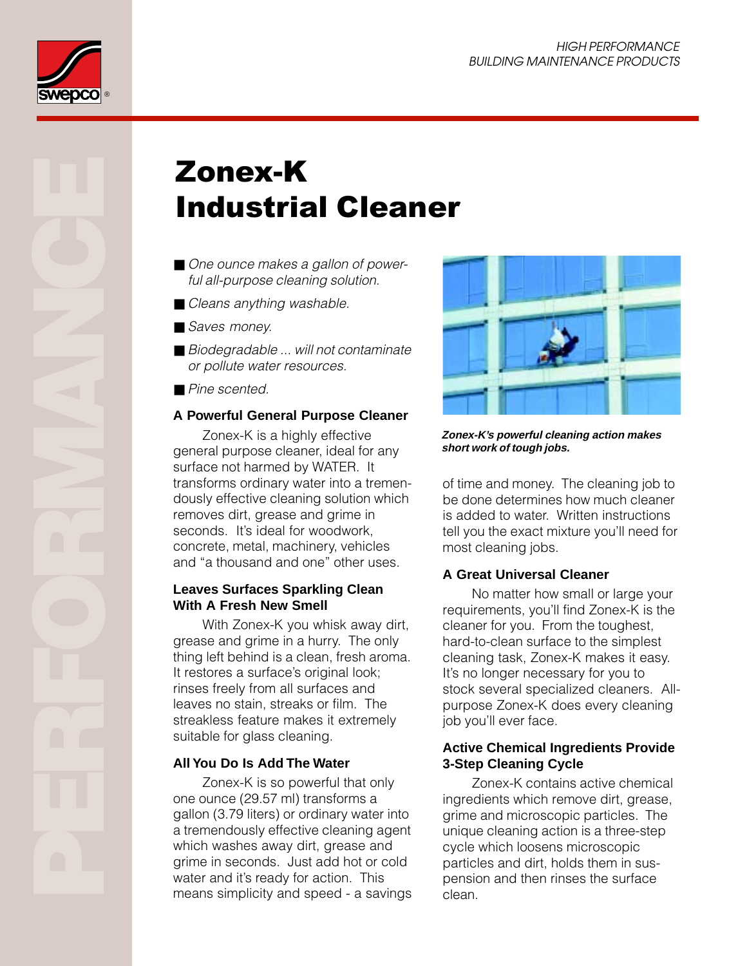

# Zonex-K Industrial Cleaner

- One ounce makes a gallon of powerful all-purpose cleaning solution.
- Cleans anything washable.
- Saves money.
- Biodegradable ... will not contaminate or pollute water resources.
- Pine scented.

### **A Powerful General Purpose Cleaner**

Zonex-K is a highly effective general purpose cleaner, ideal for any surface not harmed by WATER. It transforms ordinary water into a tremendously effective cleaning solution which removes dirt, grease and grime in seconds. It's ideal for woodwork, concrete, metal, machinery, vehicles and "a thousand and one" other uses.

#### **Leaves Surfaces Sparkling Clean With A Fresh New Smell**

With Zonex-K you whisk away dirt, grease and grime in a hurry. The only thing left behind is a clean, fresh aroma. It restores a surface's original look; rinses freely from all surfaces and leaves no stain, streaks or film. The streakless feature makes it extremely suitable for glass cleaning.

### **All You Do Is Add The Water**

Zonex-K is so powerful that only one ounce (29.57 ml) transforms a gallon (3.79 liters) or ordinary water into a tremendously effective cleaning agent which washes away dirt, grease and grime in seconds. Just add hot or cold water and it's ready for action. This means simplicity and speed - a savings



**Zonex-K's powerful cleaning action makes short work of tough jobs.**

of time and money. The cleaning job to be done determines how much cleaner is added to water. Written instructions tell you the exact mixture you'll need for most cleaning jobs.

### **A Great Universal Cleaner**

No matter how small or large your requirements, you'll find Zonex-K is the cleaner for you. From the toughest, hard-to-clean surface to the simplest cleaning task, Zonex-K makes it easy. It's no longer necessary for you to stock several specialized cleaners. Allpurpose Zonex-K does every cleaning job you'll ever face.

#### **Active Chemical Ingredients Provide 3-Step Cleaning Cycle**

Zonex-K contains active chemical ingredients which remove dirt, grease, grime and microscopic particles. The unique cleaning action is a three-step cycle which loosens microscopic particles and dirt, holds them in suspension and then rinses the surface clean.